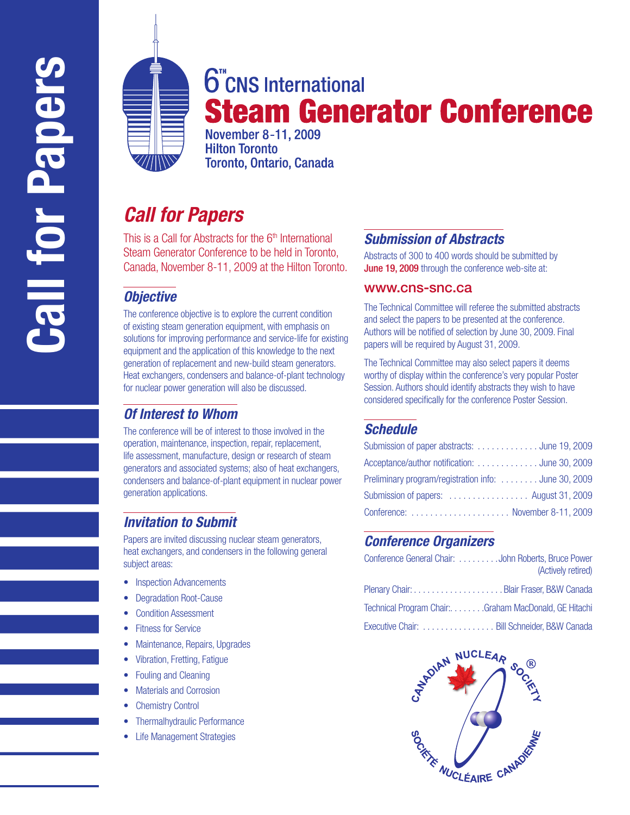

# **6**<sup>"</sup>CNS International **Steam Generator Conference**

**November 8-11, 2009 Hilton Toronto** Toronto, Ontario, Canada

## *Call for Papers*

This is a Call for Abstracts for the  $6<sup>th</sup>$  International Steam Generator Conference to be held in Toronto, Canada, November 8-11, 2009 at the Hilton Toronto.

## *Objective*

The conference objective is to explore the current condition of existing steam generation equipment, with emphasis on solutions for improving performance and service-life for existing equipment and the application of this knowledge to the next generation of replacement and new-build steam generators. Heat exchangers, condensers and balance-of-plant technology for nuclear power generation will also be discussed.

## *Of Interest to Whom*

The conference will be of interest to those involved in the operation, maintenance, inspection, repair, replacement, life assessment, manufacture, design or research of steam generators and associated systems; also of heat exchangers, condensers and balance-of-plant equipment in nuclear power generation applications.

## *Invitation to Submit*

Papers are invited discussing nuclear steam generators, heat exchangers, and condensers in the following general subject areas:

- Inspection Advancements
- Degradation Root-Cause
- Condition Assessment
- **•** Fitness for Service
- Maintenance, Repairs, Upgrades
- Vibration, Fretting, Fatigue
- Fouling and Cleaning
- Materials and Corrosion
- Chemistry Control
- Thermalhydraulic Performance
- Life Management Strategies

## *Submission of Abstracts*

Abstracts of 300 to 400 words should be submitted by June 19, 2009 through the conference web-site at:

#### www.cns-snc.ca

The Technical Committee will referee the submitted abstracts and select the papers to be presented at the conference. Authors will be notified of selection by June 30, 2009. Final papers will be required by August 31, 2009.

The Technical Committee may also select papers it deems worthy of display within the conference's very popular Poster Session. Authors should identify abstracts they wish to have considered specifically for the conference Poster Session.

## *Schedule*

| Submission of paper abstracts: June 19, 2009          |  |
|-------------------------------------------------------|--|
| Acceptance/author notification: June 30, 2009         |  |
| Preliminary program/registration info:  June 30, 2009 |  |
| Submission of papers:  August 31, 2009                |  |
| Conference:  November 8-11, 2009                      |  |

## *Conference Organizers*

| Conference General Chair: John Roberts, Bruce Power   | (Actively retired) |
|-------------------------------------------------------|--------------------|
|                                                       |                    |
| Technical Program Chair: Graham MacDonald, GE Hitachi |                    |
| Executive Chair:  Bill Schneider, B&W Canada          |                    |